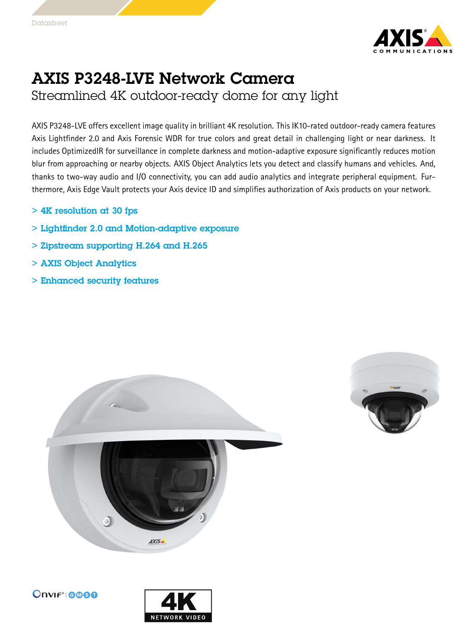

## AXIS P3248-LVE Network Camera Streamlined 4K outdoor-ready dome for any light

AXIS P3248-LVE offers excellent image quality in brilliant 4K resolution. This IK10-rated outdoor-ready camera features Axis Lightfinder 2.0 and Axis Forensic WDR for true colors and great detail in challenging light or near darkness. It includes OptimizedIR for surveillance in complete darkness and motion-adaptive exposure significantly reduces motion blur from approaching or nearby objects. AXIS Object Analytics lets you detect and classify humans and vehicles. And, thanks to two-way audio and I/O connectivity, you can add audio analytics and integrate peripheral equipment. Furthermore, Axis Edge Vault protects your Axis device ID and simplifies authorization of Axis products on your network.

- $> 4K$  resolution at 30 fps
- > Lightfinder 2.0 and Motion-adaptive exposure
- > Zipstream supporting H.264 and H.265
- > AXIS Object Analytics
- > Enhanced security features







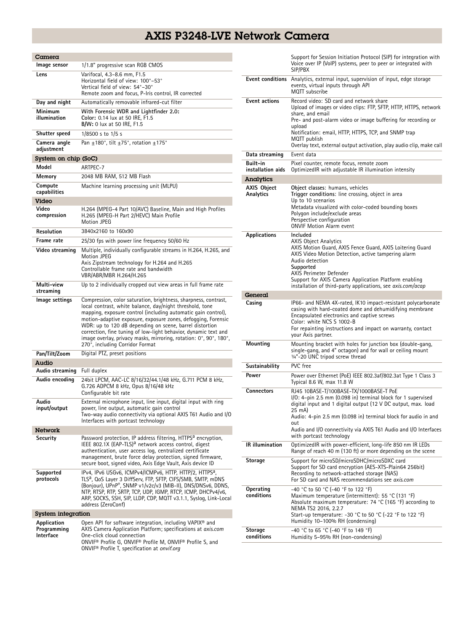## AXIS P3248-LVE Network Camera

| Camera                                  |                                                                                                                                                                                                                                                                                                                                                                                                                                                                                                     |  |
|-----------------------------------------|-----------------------------------------------------------------------------------------------------------------------------------------------------------------------------------------------------------------------------------------------------------------------------------------------------------------------------------------------------------------------------------------------------------------------------------------------------------------------------------------------------|--|
| Image sensor                            | 1/1.8" progressive scan RGB CMOS                                                                                                                                                                                                                                                                                                                                                                                                                                                                    |  |
| Lens                                    | Varifocal, 4.3-8.6 mm, F1.5<br>Horizontal field of view: 100°-53°<br>Vertical field of view: 54°-30°<br>Remote zoom and focus, P-Iris control, IR corrected                                                                                                                                                                                                                                                                                                                                         |  |
| Day and night                           | Automatically removable infrared-cut filter                                                                                                                                                                                                                                                                                                                                                                                                                                                         |  |
| Minimum<br>illumination                 | With Forensic WDR and Lightfinder 2.0:<br>Color: 0.14 lux at 50 IRE, F1.5<br><b>B/W:</b> 0 lux at 50 IRE, F1.5                                                                                                                                                                                                                                                                                                                                                                                      |  |
| Shutter speed                           | $1/8500$ s to $1/5$ s                                                                                                                                                                                                                                                                                                                                                                                                                                                                               |  |
| Camera angle<br>adjustment              | Pan $\pm$ 180°, tilt $\pm$ 75°, rotation $\pm$ 175°                                                                                                                                                                                                                                                                                                                                                                                                                                                 |  |
| System on chip (SoC)                    |                                                                                                                                                                                                                                                                                                                                                                                                                                                                                                     |  |
| Model                                   | ARTPEC-7                                                                                                                                                                                                                                                                                                                                                                                                                                                                                            |  |
| Memory                                  | 2048 MB RAM, 512 MB Flash                                                                                                                                                                                                                                                                                                                                                                                                                                                                           |  |
| Compute<br>capabilities<br>Video        | Machine learning processing unit (MLPU)                                                                                                                                                                                                                                                                                                                                                                                                                                                             |  |
| Video<br>compression                    | H.264 (MPEG-4 Part 10/AVC) Baseline, Main and High Profiles<br>H.265 (MPEG-H Part 2/HEVC) Main Profile<br>Motion JPEG                                                                                                                                                                                                                                                                                                                                                                               |  |
| Resolution                              | 3840x2160 to 160x90                                                                                                                                                                                                                                                                                                                                                                                                                                                                                 |  |
| Frame rate                              | 25/30 fps with power line frequency 50/60 Hz                                                                                                                                                                                                                                                                                                                                                                                                                                                        |  |
| Video streaming                         | Multiple, individually configurable streams in H.264, H.265, and<br>Motion JPEG<br>Axis Zipstream technology for H.264 and H.265<br>Controllable frame rate and bandwidth<br>VBR/ABR/MBR H.264/H.265                                                                                                                                                                                                                                                                                                |  |
| Multi-view<br>streaming                 | Up to 2 individually cropped out view areas in full frame rate                                                                                                                                                                                                                                                                                                                                                                                                                                      |  |
| lmage settings                          | Compression, color saturation, brightness, sharpness, contrast,<br>local contrast, white balance, day/night threshold, tone<br>mapping, exposure control (including automatic gain control),<br>motion-adaptive exposure, exposure zones, defogging, Forensic<br>WDR: up to 120 dB depending on scene, barrel distortion<br>correction, fine tuning of low-light behavior, dynamic text and<br>image overlay, privacy masks, mirroring, rotation: 0°, 90°, 180°,<br>270°, including Corridor Format |  |
| Pan/Tilt/Zoom                           | Digital PTZ, preset positions                                                                                                                                                                                                                                                                                                                                                                                                                                                                       |  |
| Audio                                   |                                                                                                                                                                                                                                                                                                                                                                                                                                                                                                     |  |
| Audio streaming                         | Full duplex                                                                                                                                                                                                                                                                                                                                                                                                                                                                                         |  |
| Audio encoding                          | 24bit LPCM, AAC-LC 8/16/32/44.1/48 kHz, G.711 PCM 8 kHz,<br>G.726 ADPCM 8 kHz, Opus 8/16/48 kHz<br>Configurable bit rate                                                                                                                                                                                                                                                                                                                                                                            |  |
| Audio<br>input/output                   | External microphone input, line input, digital input with ring<br>power, line output, automatic gain control<br>Two-way audio connectivity via optional AXIS T61 Audio and I/O<br>Interfaces with portcast technology                                                                                                                                                                                                                                                                               |  |
| <b>Network</b>                          |                                                                                                                                                                                                                                                                                                                                                                                                                                                                                                     |  |
| Security                                | Password protection, IP address filtering, HTTPS <sup>a</sup> encryption,<br>IEEE 802.1X (EAP-TLS) <sup>a</sup> network access control, digest<br>authentication, user access log, centralized certificate<br>management, brute force delay protection, signed firmware,<br>secure boot, signed video, Axis Edge Vault, Axis device ID                                                                                                                                                              |  |
| Supported<br>protocols                  | IPv4, IPv6 USGv6, ICMPv4/ICMPv6, HTTP, HTTP/2, HTTPS <sup>a</sup> ,<br>TLS <sup>a</sup> , QoS Layer 3 DiffServ, FTP, SFTP, CIFS/SMB, SMTP, mDNS<br>(Bonjour), UPnP®, SNMP v1/v2c/v3 (MIB-II), DNS/DNSv6, DDNS,<br>NTP, RTSP, RTP, SRTP, TCP, UDP, IGMP, RTCP, ICMP, DHCPv4/v6,<br>ARP, SOCKS, SSH, SIP, LLDP, CDP, MQTT v3.1.1, Syslog, Link-Local<br>address (ZeroConf)                                                                                                                            |  |
| System integration                      |                                                                                                                                                                                                                                                                                                                                                                                                                                                                                                     |  |
| Application<br>Programming<br>Interface | Open API for software integration, including VAPIX <sup>®</sup> and<br>AXIS Camera Application Platform; specifications at axis.com<br>One-click cloud connection<br>ONVIF® Profile G, ONVIF® Profile M, ONVIF® Profile S, and<br>ONVIF <sup>®</sup> Profile T, specification at onvif.org                                                                                                                                                                                                          |  |

|                                 | Support for Session Initiation Protocol (SIP) for integration with<br>Voice over IP (VoIP) systems, peer to peer or integrated with<br>SIP/PBX                                                                                                                                                                                                                 |
|---------------------------------|----------------------------------------------------------------------------------------------------------------------------------------------------------------------------------------------------------------------------------------------------------------------------------------------------------------------------------------------------------------|
|                                 | <b>Event conditions</b> Analytics, external input, supervision of input, edge storage<br>events, virtual inputs through API<br>MQTT subscribe                                                                                                                                                                                                                  |
| <b>Event actions</b>            | Record video: SD card and network share<br>Upload of images or video clips: FTP, SFTP, HTTP, HTTPS, network<br>share, and email<br>Pre- and post-alarm video or image buffering for recording or<br>upload<br>Notification: email, HTTP, HTTPS, TCP, and SNMP trap<br>MQTT publish<br>Overlay text, external output activation, play audio clip, make call     |
| Data streaming                  | Event data                                                                                                                                                                                                                                                                                                                                                     |
| Built-in<br>installation aids   | Pixel counter, remote focus, remote zoom<br>Optimized R with adjustable IR illumination intensity                                                                                                                                                                                                                                                              |
| Analytics                       |                                                                                                                                                                                                                                                                                                                                                                |
| <b>AXIS Object</b><br>Analytics | Object classes: humans, vehicles<br>Trigger conditions: line crossing, object in area<br>Up to 10 scenarios<br>Metadata visualized with color-coded bounding boxes<br>Polygon include/exclude areas<br>Perspective configuration<br><b>ONVIF Motion Alarm event</b>                                                                                            |
| Applications                    | Included<br><b>AXIS Object Analytics</b><br>AXIS Motion Guard, AXIS Fence Guard, AXIS Loitering Guard<br>AXIS Video Motion Detection, active tampering alarm<br>Audio detection<br>Supported<br>AXIS Perimeter Defender<br>Support for AXIS Camera Application Platform enabling<br>installation of third-party applications, see <i>axis.com/acap</i>         |
| General                         |                                                                                                                                                                                                                                                                                                                                                                |
| Casing                          | IP66- and NEMA 4X-rated, IK10 impact-resistant polycarbonate<br>casing with hard-coated dome and dehumidifying membrane<br>Encapsulated electronics and captive screws<br>Color: white NCS S 1002-B<br>For repainting instructions and impact on warranty, contact<br>your Axis partner.                                                                       |
| Mounting                        | Mounting bracket with holes for junction box (double-gang,<br>single-gang, and 4" octagon) and for wall or ceiling mount<br>1/4"-20 UNC tripod screw thread                                                                                                                                                                                                    |
| Sustainability                  | PVC free                                                                                                                                                                                                                                                                                                                                                       |
| Power                           | Power over Ethernet (PoE) IEEE 802.3af/802.3at Type 1 Class 3<br>Typical 8.6 W, max 11.8 W                                                                                                                                                                                                                                                                     |
| <b>Connectors</b>               | RJ45 10BASE-T/100BASE-TX/1000BASE-T PoE<br>$1/0$ : 4-pin 2.5 mm (0.098 in) terminal block for 1 supervised<br>digital input and 1 digital output (12 V DC output, max. load<br>25 mA)<br>Audio: 4-pin 2.5 mm (0.098 in) terminal block for audio in and<br>out<br>Audio and I/O connectivity via AXIS T61 Audio and I/O Interfaces<br>with portcast technology |
| IR illumination                 | OptimizedIR with power-efficient, long-life 850 nm IR LEDs<br>Range of reach 40 m (130 ft) or more depending on the scene                                                                                                                                                                                                                                      |
| Storage                         | Support for microSD/microSDHC/microSDXC card<br>Support for SD card encryption (AES-XTS-Plain64 256bit)<br>Recording to network-attached storage (NAS)<br>For SD card and NAS recommendations see axis.com                                                                                                                                                     |
| Operating<br>conditions         | -40 °C to 50 °C (-40 °F to 122 °F)<br>Maximum temperature (intermittent): 55 °C (131 °F)<br>Absolute maximum temperature: 74 °C (165 °F) according to<br>NEMA TS2 2016, 2.2.7<br>Start-up temperature: -30 °C to 50 °C (-22 °F to 122 °F)<br>Humidity 10-100% RH (condensing)                                                                                  |
| Storage                         | -40 °C to 65 °C (-40 °F to 149 °F)                                                                                                                                                                                                                                                                                                                             |
| conditions                      | Humidity 5-95% RH (non-condensing)                                                                                                                                                                                                                                                                                                                             |